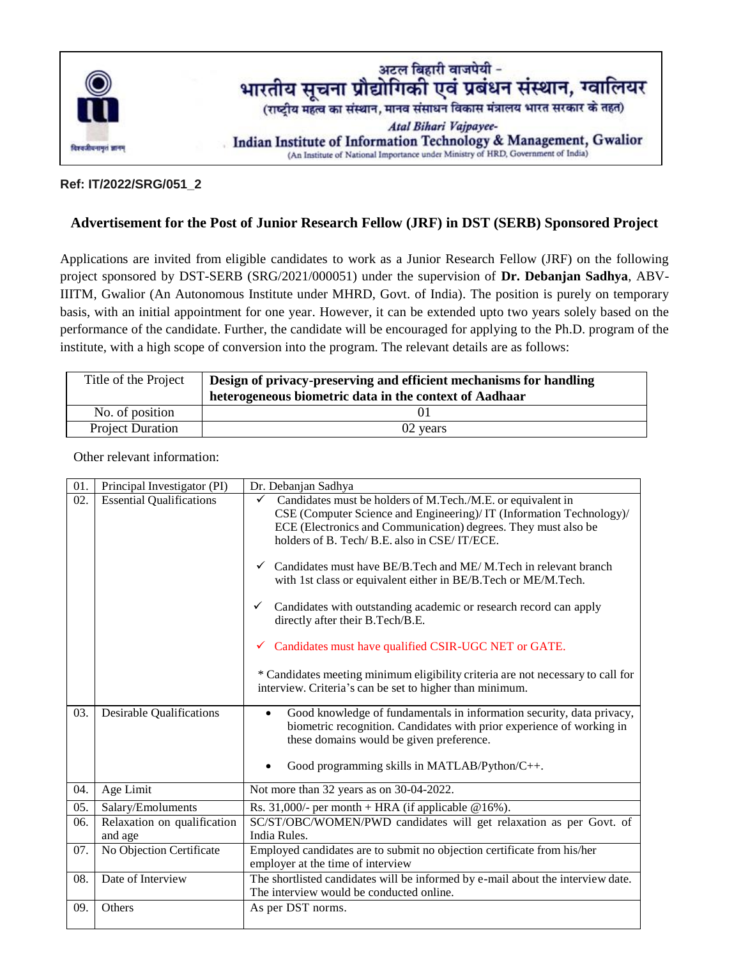

## **Ref: IT/2022/SRG/051\_2**

## **Advertisement for the Post of Junior Research Fellow (JRF) in DST (SERB) Sponsored Project**

Applications are invited from eligible candidates to work as a Junior Research Fellow (JRF) on the following project sponsored by DST-SERB (SRG/2021/000051) under the supervision of **Dr. Debanjan Sadhya**, ABV-IIITM, Gwalior (An Autonomous Institute under MHRD, Govt. of India). The position is purely on temporary basis, with an initial appointment for one year. However, it can be extended upto two years solely based on the performance of the candidate. Further, the candidate will be encouraged for applying to the Ph.D. program of the institute, with a high scope of conversion into the program. The relevant details are as follows:

| Title of the Project    | Design of privacy-preserving and efficient mechanisms for handling |
|-------------------------|--------------------------------------------------------------------|
|                         | heterogeneous biometric data in the context of Aadhaar             |
| No. of position         |                                                                    |
| <b>Project Duration</b> | 02 years                                                           |

01. Principal Investigator (PI) Dr. Debanjan Sadhya 02. Essential Qualifications  $\checkmark$  Candidates must be holders of M.Tech./M.E. or equivalent in CSE (Computer Science and Engineering)/ IT (Information Technology)/ ECE (Electronics and Communication) degrees. They must also be holders of B. Tech/ B.E. also in CSE/ IT/ECE.  $\checkmark$  Candidates must have BE/B. Tech and ME/M. Tech in relevant branch with 1st class or equivalent either in BE/B.Tech or ME/M.Tech. Candidates with outstanding academic or research record can apply directly after their B.Tech/B.E. Candidates must have qualified CSIR-UGC NET or GATE. \* Candidates meeting minimum eligibility criteria are not necessary to call for interview. Criteria's can be set to higher than minimum. 03. Desirable Qualifications **Cood** knowledge of fundamentals in information security, data privacy, biometric recognition. Candidates with prior experience of working in these domains would be given preference. Good programming skills in MATLAB/Python/C++. 04. Age Limit Not more than 32 years as on 30-04-2022. 05. Salary/Emoluments Rs. 31,000/- per month + HRA (if applicable @16%). 06. Relaxation on qualification and age SC/ST/OBC/WOMEN/PWD candidates will get relaxation as per Govt. of India Rules. 07. No Objection Certificate Employed candidates are to submit no objection certificate from his/her employer at the time of interview 08. Date of Interview The shortlisted candidates will be informed by e-mail about the interview date. The interview would be conducted online. 09. Others As per DST norms.

Other relevant information: